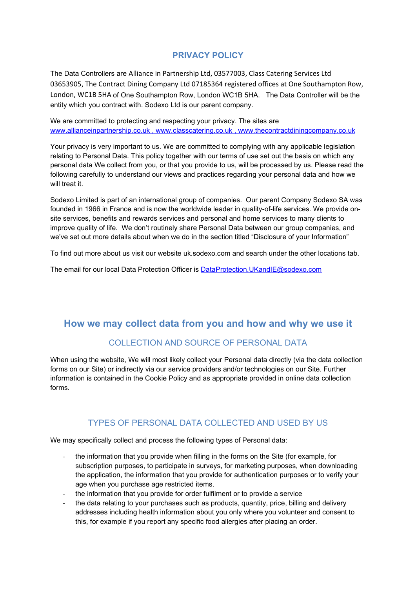### **PRIVACY POLICY**

The Data Controllers are Alliance in Partnership Ltd, 03577003, Class Catering Services Ltd 03653905, The Contract Dining Company Ltd 07185364 registered offices at One Southampton Row, London, WC1B 5HA of One Southampton Row, London WC1B 5HA. The Data Controller will be the entity which you contract with. Sodexo Ltd is our parent company.

We are committed to protecting and respecting your privacy. The sites are [www.allianceinpartnership.co.uk](http://www.allianceinpartnership.co.uk/) , [www.classcatering.co.uk](http://www.classcatering.co.uk/) , www.thecontractdiningcompany.co.uk

Your privacy is very important to us. We are committed to complying with any applicable legislation relating to Personal Data. This policy together with our terms of use set out the basis on which any personal data We collect from you, or that you provide to us, will be processed by us. Please read the following carefully to understand our views and practices regarding your personal data and how we will treat it.

Sodexo Limited is part of an international group of companies. Our parent Company Sodexo SA was founded in 1966 in France and is now the worldwide leader in quality-of-life services. We provide onsite services, benefits and rewards services and personal and home services to many clients to improve quality of life. We don't routinely share Personal Data between our group companies, and we've set out more details about when we do in the section titled "Disclosure of your Information"

To find out more about us visit our website uk.sodexo.com and search under the other locations tab.

The email for our local Data Protection Officer is [DataProtection.UKandIE@sodexo.com](mailto:DataProtection.UKandIE@sodexo.com)

# **How we may collect data from you and how and why we use it**

# COLLECTION AND SOURCE OF PERSONAL DATA

When using the website, We will most likely collect your Personal data directly (via the data collection forms on our Site) or indirectly via our service providers and/or technologies on our Site. Further information is contained in the Cookie Policy and as appropriate provided in online data collection forms.

### TYPES OF PERSONAL DATA COLLECTED AND USED BY US

We may specifically collect and process the following types of Personal data:

- the information that you provide when filling in the forms on the Site (for example, for subscription purposes, to participate in surveys, for marketing purposes, when downloading the application, the information that you provide for authentication purposes or to verify your age when you purchase age restricted items.
- the information that you provide for order fulfilment or to provide a service
- the data relating to your purchases such as products, quantity, price, billing and delivery addresses including health information about you only where you volunteer and consent to this, for example if you report any specific food allergies after placing an order.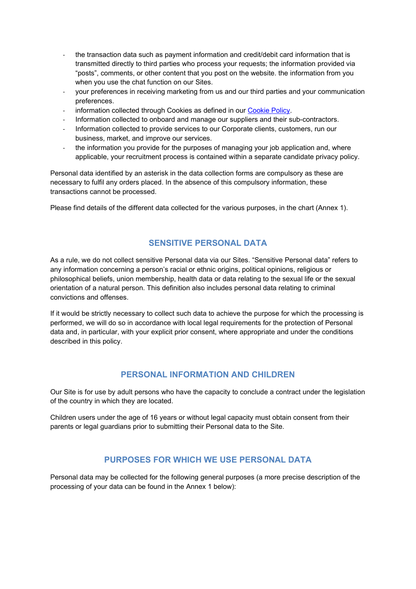- the transaction data such as payment information and credit/debit card information that is transmitted directly to third parties who process your requests; the information provided via "posts", comments, or other content that you post on the website. the information from you when you use the chat function on our Sites.
- your preferences in receiving marketing from us and our third parties and your communication preferences.
- information collected through Cookies as defined in our [Cookie Policy.](http://www.thecontractdiningcompany.co.uk/kent_school_meals/file/PDF/Policy/2021/Cookie_Policy_Alliance_and_Partnership_June21.pdf)
- Information collected to onboard and manage our suppliers and their sub-contractors.
- Information collected to provide services to our Corporate clients, customers, run our business, market, and improve our services.
- the information you provide for the purposes of managing your job application and, where applicable, your recruitment process is contained within a separate candidate privacy policy.

Personal data identified by an asterisk in the data collection forms are compulsory as these are necessary to fulfil any orders placed. In the absence of this compulsory information, these transactions cannot be processed.

Please find details of the different data collected for the various purposes, in the chart (Annex 1).

### **SENSITIVE PERSONAL DATA**

As a rule, we do not collect sensitive Personal data via our Sites. "Sensitive Personal data" refers to any information concerning a person's racial or ethnic origins, political opinions, religious or philosophical beliefs, union membership, health data or data relating to the sexual life or the sexual orientation of a natural person. This definition also includes personal data relating to criminal convictions and offenses.

If it would be strictly necessary to collect such data to achieve the purpose for which the processing is performed, we will do so in accordance with local legal requirements for the protection of Personal data and, in particular, with your explicit prior consent, where appropriate and under the conditions described in this policy.

### **PERSONAL INFORMATION AND CHILDREN**

Our Site is for use by adult persons who have the capacity to conclude a contract under the legislation of the country in which they are located.

Children users under the age of 16 years or without legal capacity must obtain consent from their parents or legal guardians prior to submitting their Personal data to the Site.

### **PURPOSES FOR WHICH WE USE PERSONAL DATA**

Personal data may be collected for the following general purposes (a more precise description of the processing of your data can be found in the Annex 1 below):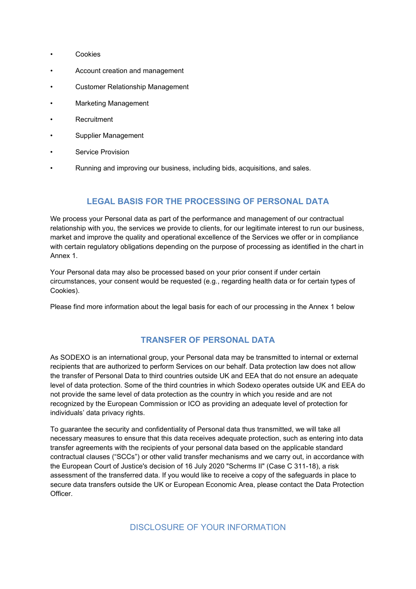- **Cookies**
- Account creation and management
- Customer Relationship Management
- Marketing Management
- **Recruitment**
- Supplier Management
- Service Provision
- Running and improving our business, including bids, acquisitions, and sales.

### **LEGAL BASIS FOR THE PROCESSING OF PERSONAL DATA**

We process your Personal data as part of the performance and management of our contractual relationship with you, the services we provide to clients, for our legitimate interest to run our business, market and improve the quality and operational excellence of the Services we offer or in compliance with certain regulatory obligations depending on the purpose of processing as identified in the chart in Annex 1.

Your Personal data may also be processed based on your prior consent if under certain circumstances, your consent would be requested (e.g., regarding health data or for certain types of Cookies).

Please find more information about the legal basis for each of our processing in the Annex 1 below

#### **TRANSFER OF PERSONAL DATA**

As SODEXO is an international group, your Personal data may be transmitted to internal or external recipients that are authorized to perform Services on our behalf. Data protection law does not allow the transfer of Personal Data to third countries outside UK and EEA that do not ensure an adequate level of data protection. Some of the third countries in which Sodexo operates outside UK and EEA do not provide the same level of data protection as the country in which you reside and are not recognized by the European Commission or ICO as providing an adequate level of protection for individuals' data privacy rights.

To guarantee the security and confidentiality of Personal data thus transmitted, we will take all necessary measures to ensure that this data receives adequate protection, such as entering into data transfer agreements with the recipients of your personal data based on the applicable standard contractual clauses ("SCCs") or other valid transfer mechanisms and we carry out, in accordance with the European Court of Justice's decision of 16 July 2020 "Scherms II" (Case C 311-18), a risk assessment of the transferred data. If you would like to receive a copy of the safeguards in place to secure data transfers outside the UK or European Economic Area, please contact the Data Protection **Officer** 

DISCLOSURE OF YOUR INFORMATION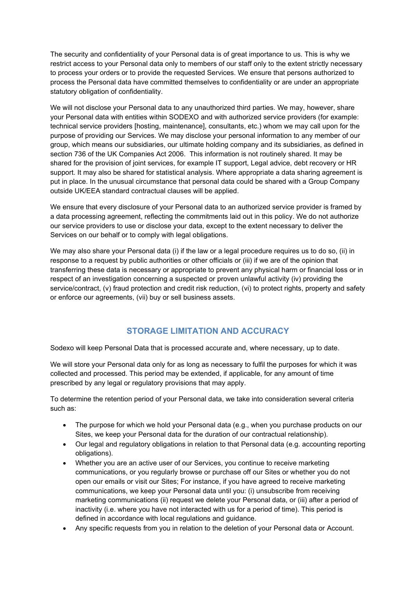The security and confidentiality of your Personal data is of great importance to us. This is why we restrict access to your Personal data only to members of our staff only to the extent strictly necessary to process your orders or to provide the requested Services. We ensure that persons authorized to process the Personal data have committed themselves to confidentiality or are under an appropriate statutory obligation of confidentiality.

We will not disclose your Personal data to any unauthorized third parties. We may, however, share your Personal data with entities within SODEXO and with authorized service providers (for example: technical service providers [hosting, maintenance], consultants, etc.) whom we may call upon for the purpose of providing our Services. We may disclose your personal information to any member of our group, which means our subsidiaries, our ultimate holding company and its subsidiaries, as defined in section 736 of the UK Companies Act 2006. This information is not routinely shared. It may be shared for the provision of joint services, for example IT support, Legal advice, debt recovery or HR support. It may also be shared for statistical analysis. Where appropriate a data sharing agreement is put in place. In the unusual circumstance that personal data could be shared with a Group Company outside UK/EEA standard contractual clauses will be applied.

We ensure that every disclosure of your Personal data to an authorized service provider is framed by a data processing agreement, reflecting the commitments laid out in this policy. We do not authorize our service providers to use or disclose your data, except to the extent necessary to deliver the Services on our behalf or to comply with legal obligations.

We may also share your Personal data (i) if the law or a legal procedure requires us to do so, (ii) in response to a request by public authorities or other officials or (iii) if we are of the opinion that transferring these data is necessary or appropriate to prevent any physical harm or financial loss or in respect of an investigation concerning a suspected or proven unlawful activity (iv) providing the service/contract, (v) fraud protection and credit risk reduction, (vi) to protect rights, property and safety or enforce our agreements, (vii) buy or sell business assets.

# **STORAGE LIMITATION AND ACCURACY**

Sodexo will keep Personal Data that is processed accurate and, where necessary, up to date.

We will store your Personal data only for as long as necessary to fulfil the purposes for which it was collected and processed. This period may be extended, if applicable, for any amount of time prescribed by any legal or regulatory provisions that may apply.

To determine the retention period of your Personal data, we take into consideration several criteria such as:

- The purpose for which we hold your Personal data (e.g., when you purchase products on our Sites, we keep your Personal data for the duration of our contractual relationship).
- Our legal and regulatory obligations in relation to that Personal data (e.g. accounting reporting obligations).
- Whether you are an active user of our Services, you continue to receive marketing communications, or you regularly browse or purchase off our Sites or whether you do not open our emails or visit our Sites; For instance, if you have agreed to receive marketing communications, we keep your Personal data until you: (i) unsubscribe from receiving marketing communications (ii) request we delete your Personal data, or (iii) after a period of inactivity (i.e. where you have not interacted with us for a period of time). This period is defined in accordance with local regulations and guidance.
- Any specific requests from you in relation to the deletion of your Personal data or Account.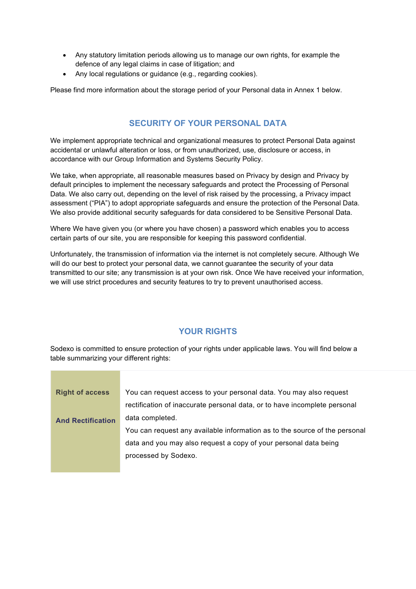- Any statutory limitation periods allowing us to manage our own rights, for example the defence of any legal claims in case of litigation; and
- Any local regulations or guidance (e.g., regarding cookies).

Please find more information about the storage period of your Personal data in Annex 1 below.

# **SECURITY OF YOUR PERSONAL DATA**

We implement appropriate technical and organizational measures to protect Personal Data against accidental or unlawful alteration or loss, or from unauthorized, use, disclosure or access, in accordance with our Group Information and Systems Security Policy.

We take, when appropriate, all reasonable measures based on Privacy by design and Privacy by default principles to implement the necessary safeguards and protect the Processing of Personal Data. We also carry out, depending on the level of risk raised by the processing, a Privacy impact assessment ("PIA") to adopt appropriate safeguards and ensure the protection of the Personal Data. We also provide additional security safeguards for data considered to be Sensitive Personal Data.

Where We have given you (or where you have chosen) a password which enables you to access certain parts of our site, you are responsible for keeping this password confidential.

Unfortunately, the transmission of information via the internet is not completely secure. Although We will do our best to protect your personal data, we cannot guarantee the security of your data transmitted to our site; any transmission is at your own risk. Once We have received your information, we will use strict procedures and security features to try to prevent unauthorised access.

### **YOUR RIGHTS**

Sodexo is committed to ensure protection of your rights under applicable laws. You will find below a table summarizing your different rights:

| <b>Right of access</b>   | You can request access to your personal data. You may also request         |
|--------------------------|----------------------------------------------------------------------------|
|                          | rectification of inaccurate personal data, or to have incomplete personal  |
| <b>And Rectification</b> | data completed.                                                            |
|                          | You can request any available information as to the source of the personal |
|                          | data and you may also request a copy of your personal data being           |
|                          | processed by Sodexo.                                                       |
|                          |                                                                            |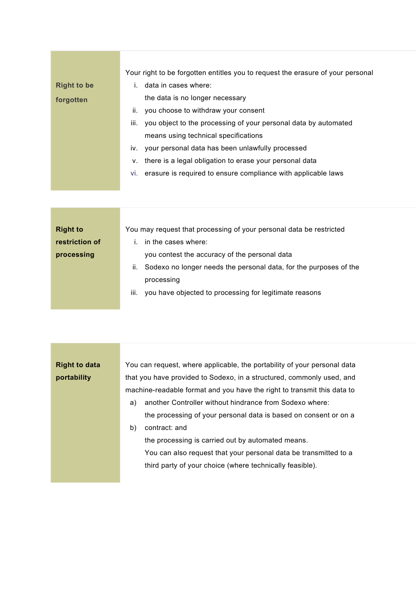| <b>Right to be</b><br>forgotten | Your right to be forgotten entitles you to request the erasure of your personal<br>$i$ data in cases where:<br>the data is no longer necessary<br>you choose to withdraw your consent<br>ii.<br>you object to the processing of your personal data by automated<br>iii.<br>means using technical specifications |
|---------------------------------|-----------------------------------------------------------------------------------------------------------------------------------------------------------------------------------------------------------------------------------------------------------------------------------------------------------------|
|                                 | iv. your personal data has been unlawfully processed<br>there is a legal obligation to erase your personal data                                                                                                                                                                                                 |
|                                 | ν.<br>vi. erasure is required to ensure compliance with applicable laws                                                                                                                                                                                                                                         |
|                                 |                                                                                                                                                                                                                                                                                                                 |

| <b>Right to</b> | You may request that processing of your personal data be restricted     |  |  |  |  |
|-----------------|-------------------------------------------------------------------------|--|--|--|--|
| restriction of  | in the cases where:                                                     |  |  |  |  |
| processing      | you contest the accuracy of the personal data                           |  |  |  |  |
|                 | Sodexo no longer needs the personal data, for the purposes of the<br>Ш. |  |  |  |  |
|                 | processing                                                              |  |  |  |  |
|                 | iii.<br>you have objected to processing for legitimate reasons          |  |  |  |  |
|                 |                                                                         |  |  |  |  |

| <b>Right to data</b> | You can request, where applicable, the portability of your personal data |  |  |  |  |
|----------------------|--------------------------------------------------------------------------|--|--|--|--|
| portability          | that you have provided to Sodexo, in a structured, commonly used, and    |  |  |  |  |
|                      | machine-readable format and you have the right to transmit this data to  |  |  |  |  |
|                      | another Controller without hindrance from Sodexo where:<br>a)            |  |  |  |  |
|                      | the processing of your personal data is based on consent or on a         |  |  |  |  |
|                      | b)<br>contract: and                                                      |  |  |  |  |
|                      | the processing is carried out by automated means.                        |  |  |  |  |
|                      | You can also request that your personal data be transmitted to a         |  |  |  |  |
|                      | third party of your choice (where technically feasible).                 |  |  |  |  |
|                      |                                                                          |  |  |  |  |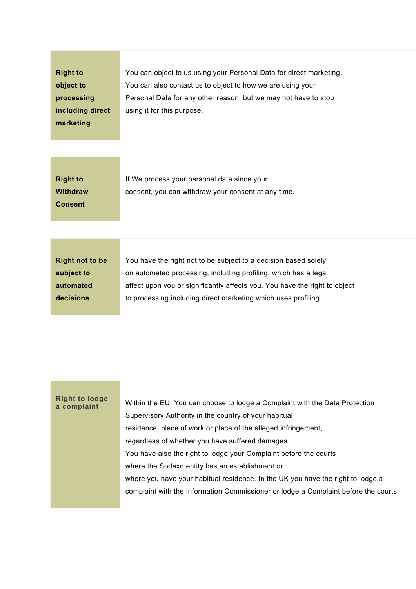| <b>Right to</b><br>object to<br>processing<br>including direct<br>marketing | You can object to us using your Personal Data for direct marketing.<br>You can also contact us to object to how we are using your<br>Personal Data for any other reason, but we may not have to stop<br>using it for this purpose.                                                 |
|-----------------------------------------------------------------------------|------------------------------------------------------------------------------------------------------------------------------------------------------------------------------------------------------------------------------------------------------------------------------------|
| <b>Right to</b><br><b>Withdraw</b><br><b>Consent</b>                        | If We process your personal data since your<br>consent, you can withdraw your consent at any time.                                                                                                                                                                                 |
| <b>Right not to be</b><br>subject to<br>automated<br>decisions              | You have the right not to be subject to a decision based solely<br>on automated processing, including profiling, which has a legal<br>affect upon you or significantly affects you. You have the right to object<br>to processing including direct marketing which uses profiling. |

| <b>Right to lodge</b><br>a complaint | Within the EU, You can choose to lodge a Complaint with the Data Protection         |
|--------------------------------------|-------------------------------------------------------------------------------------|
|                                      | Supervisory Authority in the country of your habitual                               |
|                                      | residence, place of work or place of the alleged infringement,                      |
|                                      | regardless of whether you have suffered damages.                                    |
|                                      | You have also the right to lodge your Complaint before the courts                   |
|                                      | where the Sodexo entity has an establishment or                                     |
|                                      | where you have your habitual residence. In the UK you have the right to lodge a     |
|                                      | complaint with the Information Commissioner or lodge a Complaint before the courts. |
|                                      |                                                                                     |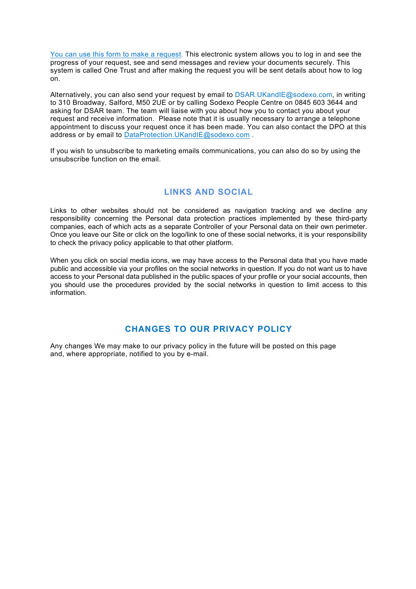[You can use this form](https://privacyportal-eu-cdn.onetrust.com/dsarwebform/c51cde17-e99e-4699-80ce-892748f9ad1a/70a64bef-17c0-4a75-bbad-c338b9f59b78.html) to make a request. This electronic system allows you to log in and see the progress of your request, see and send messages and review your documents securely. This system is called One Trust and after making the request you will be sent details about how to log on.

Alternatively, you can also send your request by email to DSAR.UKandIE@sodexo.com, in writing to 310 Broadway, Salford, M50 2UE or by calling Sodexo People Centre on 0845 603 3644 and asking for DSAR team. The team will liaise with you about how you to contact you about your request and receive information. Please note that it is usually necessary to arrange a telephone appointment to discuss your request once it has been made. You can also contact the DPO at this address or by email to [DataProtection.UKandIE@sodexo.com](mailto:DataProtection.UKandIE@sodexo.com) .

If you wish to unsubscribe to marketing emails communications, you can also do so by using the unsubscribe function on the email.

### **[LINKS AND SOCIAL](https://uk.sodexo.com/home/legal-and-privacy/privacy-notice.html#expand-173aecbf-37d5-45fb-8ea7-774398b93999)**

Links to other websites should not be considered as navigation tracking and we decline any responsibility concerning the Personal data protection practices implemented by these third-party companies, each of which acts as a separate Controller of your Personal data on their own perimeter. Once you leave our Site or click on the logo/link to one of these social networks, it is your responsibility to check the privacy policy applicable to that other platform.

When you click on social media icons, we may have access to the Personal data that you have made public and accessible via your profiles on the social networks in question. If you do not want us to have access to your Personal data published in the public spaces of your profile or your social accounts, then you should use the procedures provided by the social networks in question to limit access to this information.

### **CHANGES TO OUR PRIVACY POLICY**

Any changes We may make to our privacy policy in the future will be posted on this page and, where appropriate, notified to you by e-mail.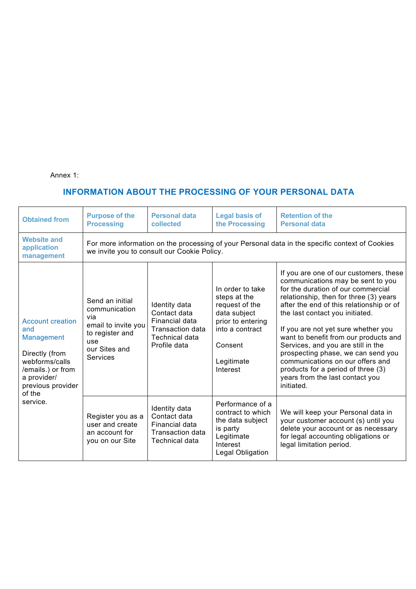Annex 1:

# **INFORMATION ABOUT THE PROCESSING OF YOUR PERSONAL DATA**

| <b>Obtained from</b>                                                                                                                                            | <b>Purpose of the</b><br><b>Processing</b>                                                                                                     | <b>Personal data</b><br>collected                                                                            | <b>Legal basis of</b><br>the Processing                                                                                                         | <b>Retention of the</b><br><b>Personal data</b>                                                                                                                                                                                                                                                                                                                                                                                                                                                                                   |  |
|-----------------------------------------------------------------------------------------------------------------------------------------------------------------|------------------------------------------------------------------------------------------------------------------------------------------------|--------------------------------------------------------------------------------------------------------------|-------------------------------------------------------------------------------------------------------------------------------------------------|-----------------------------------------------------------------------------------------------------------------------------------------------------------------------------------------------------------------------------------------------------------------------------------------------------------------------------------------------------------------------------------------------------------------------------------------------------------------------------------------------------------------------------------|--|
| <b>Website and</b><br>application<br>management                                                                                                                 | For more information on the processing of your Personal data in the specific context of Cookies<br>we invite you to consult our Cookie Policy. |                                                                                                              |                                                                                                                                                 |                                                                                                                                                                                                                                                                                                                                                                                                                                                                                                                                   |  |
| <b>Account creation</b><br>and<br>Management<br>Directly (from<br>webforms/calls<br>/emails.) or from<br>a provider/<br>previous provider<br>of the<br>service. | Send an initial<br>communication<br>via<br>email to invite you<br>to register and<br>use<br>our Sites and<br><b>Services</b>                   | Identity data<br>Contact data<br>Financial data<br><b>Transaction data</b><br>Technical data<br>Profile data | In order to take<br>steps at the<br>request of the<br>data subject<br>prior to entering<br>into a contract<br>Consent<br>Legitimate<br>Interest | If you are one of our customers, these<br>communications may be sent to you<br>for the duration of our commercial<br>relationship, then for three (3) years<br>after the end of this relationship or of<br>the last contact you initiated.<br>If you are not yet sure whether you<br>want to benefit from our products and<br>Services, and you are still in the<br>prospecting phase, we can send you<br>communications on our offers and<br>products for a period of three (3)<br>years from the last contact you<br>initiated. |  |
|                                                                                                                                                                 | Register you as a<br>user and create<br>an account for<br>you on our Site                                                                      | Identity data<br>Contact data<br>Financial data<br><b>Transaction data</b><br><b>Technical data</b>          | Performance of a<br>contract to which<br>the data subject<br>is party<br>Legitimate<br>Interest<br>Legal Obligation                             | We will keep your Personal data in<br>your customer account (s) until you<br>delete your account or as necessary<br>for legal accounting obligations or<br>legal limitation period.                                                                                                                                                                                                                                                                                                                                               |  |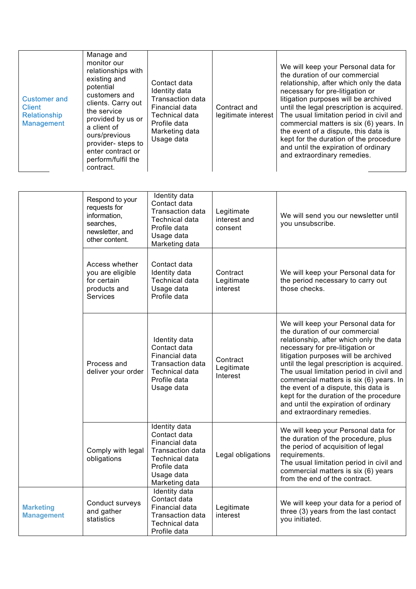| <b>Customer and</b><br><b>Client</b><br>Relationship<br><b>Management</b> | Manage and<br>monitor our<br>relationships with<br>existing and<br>potential<br>customers and<br>clients. Carry out<br>the service<br>provided by us or<br>a client of<br>ours/previous<br>provider- steps to<br>enter contract or<br>perform/fulfil the<br>contract. | Contact data<br>Identity data<br>Transaction data<br>Financial data<br><b>Technical data</b><br>Profile data<br>Marketing data<br>Usage data | Contract and<br>legitimate interest   | We will keep your Personal data for<br>the duration of our commercial<br>relationship, after which only the data<br>necessary for pre-litigation or<br>litigation purposes will be archived<br>until the legal prescription is acquired.<br>The usual limitation period in civil and<br>commercial matters is six (6) years. In<br>the event of a dispute, this data is<br>kept for the duration of the procedure<br>and until the expiration of ordinary<br>and extraordinary remedies. |
|---------------------------------------------------------------------------|-----------------------------------------------------------------------------------------------------------------------------------------------------------------------------------------------------------------------------------------------------------------------|----------------------------------------------------------------------------------------------------------------------------------------------|---------------------------------------|------------------------------------------------------------------------------------------------------------------------------------------------------------------------------------------------------------------------------------------------------------------------------------------------------------------------------------------------------------------------------------------------------------------------------------------------------------------------------------------|
|                                                                           |                                                                                                                                                                                                                                                                       |                                                                                                                                              |                                       |                                                                                                                                                                                                                                                                                                                                                                                                                                                                                          |
|                                                                           | Respond to your<br>requests for<br>information,<br>searches,<br>newsletter, and<br>other content.                                                                                                                                                                     | Identity data<br>Contact data<br><b>Transaction data</b><br><b>Technical data</b><br>Profile data<br>Usage data<br>Marketing data            | Legitimate<br>interest and<br>consent | We will send you our newsletter until<br>you unsubscribe.                                                                                                                                                                                                                                                                                                                                                                                                                                |
|                                                                           | Access whether<br>you are eligible<br>for certain<br>products and<br><b>Services</b>                                                                                                                                                                                  | Contact data<br>Identity data<br><b>Technical data</b><br>Usage data<br>Profile data                                                         | Contract<br>Legitimate<br>interest    | We will keep your Personal data for<br>the period necessary to carry out<br>those checks.                                                                                                                                                                                                                                                                                                                                                                                                |
|                                                                           | Process and<br>deliver your order                                                                                                                                                                                                                                     | Identity data<br>Contact data<br>Financial data<br>Transaction data<br><b>Technical data</b><br>Profile data<br>Usage data                   | Contract<br>Legitimate<br>Interest    | We will keep your Personal data for<br>the duration of our commercial<br>relationship, after which only the data<br>necessary for pre-litigation or<br>litigation purposes will be archived<br>until the legal prescription is acquired.<br>The usual limitation period in civil and<br>commercial matters is six (6) years. In<br>the event of a dispute, this data is<br>kept for the duration of the procedure<br>and until the expiration of ordinary<br>and extraordinary remedies. |
|                                                                           | Comply with legal<br>obligations                                                                                                                                                                                                                                      | Identity data<br>Contact data<br>Financial data<br>Transaction data<br>Technical data<br>Profile data<br>Usage data<br>Marketing data        | Legal obligations                     | We will keep your Personal data for<br>the duration of the procedure, plus<br>the period of acquisition of legal<br>requirements.<br>The usual limitation period in civil and<br>commercial matters is six (6) years<br>from the end of the contract.                                                                                                                                                                                                                                    |
| <b>Marketing</b><br><b>Management</b>                                     | Conduct surveys<br>and gather<br>statistics                                                                                                                                                                                                                           | Identity data<br>Contact data<br>Financial data<br>Transaction data<br>Technical data<br>Profile data                                        | Legitimate<br>interest                | We will keep your data for a period of<br>three (3) years from the last contact<br>you initiated.                                                                                                                                                                                                                                                                                                                                                                                        |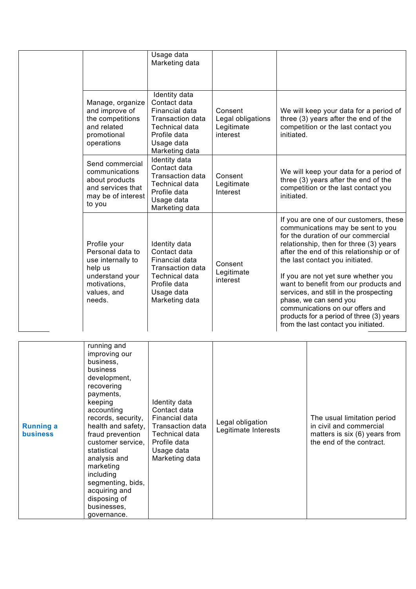|                                                                                                                              | Usage data<br>Marketing data                                                                                                                               |                                                        |                                                                                                                                                                                                                                                                                                                                                                                                                                                                                                                        |
|------------------------------------------------------------------------------------------------------------------------------|------------------------------------------------------------------------------------------------------------------------------------------------------------|--------------------------------------------------------|------------------------------------------------------------------------------------------------------------------------------------------------------------------------------------------------------------------------------------------------------------------------------------------------------------------------------------------------------------------------------------------------------------------------------------------------------------------------------------------------------------------------|
| Manage, organize<br>and improve of<br>the competitions<br>and related<br>promotional<br>operations                           | <b>Identity</b> data<br>Contact data<br>Financial data<br><b>Transaction data</b><br><b>Technical data</b><br>Profile data<br>Usage data<br>Marketing data | Consent<br>Legal obligations<br>Legitimate<br>interest | We will keep your data for a period of<br>three (3) years after the end of the<br>competition or the last contact you<br>initiated.                                                                                                                                                                                                                                                                                                                                                                                    |
| Send commercial<br>communications<br>about products<br>and services that<br>may be of interest<br>to you                     | Identity data<br>Contact data<br><b>Transaction data</b><br><b>Technical data</b><br>Profile data<br>Usage data<br>Marketing data                          | Consent<br>Legitimate<br>Interest                      | We will keep your data for a period of<br>three (3) years after the end of the<br>competition or the last contact you<br>initiated.                                                                                                                                                                                                                                                                                                                                                                                    |
| Profile your<br>Personal data to<br>use internally to<br>help us<br>understand your<br>motivations,<br>values, and<br>needs. | Identity data<br>Contact data<br>Financial data<br>Transaction data<br><b>Technical data</b><br>Profile data<br>Usage data<br>Marketing data               | Consent<br>Legitimate<br>interest                      | If you are one of our customers, these<br>communications may be sent to you<br>for the duration of our commercial<br>relationship, then for three (3) years<br>after the end of this relationship or of<br>the last contact you initiated.<br>If you are not yet sure whether you<br>want to benefit from our products and<br>services, and still in the prospecting<br>phase, we can send you<br>communications on our offers and<br>products for a period of three (3) years<br>from the last contact you initiated. |
|                                                                                                                              |                                                                                                                                                            |                                                        |                                                                                                                                                                                                                                                                                                                                                                                                                                                                                                                        |
| running and<br>improving our<br>business,<br>business                                                                        |                                                                                                                                                            |                                                        |                                                                                                                                                                                                                                                                                                                                                                                                                                                                                                                        |

| <b>Running a</b><br><b>business</b> | improving our<br>business,<br>business<br>development,<br>recovering<br>payments,<br>keeping<br>accounting<br>records, security,<br>health and safety,<br>fraud prevention<br>customer service,<br>statistical<br>analysis and<br>marketing<br>including<br>segmenting, bids,<br>acquiring and<br>disposing of<br>businesses,<br>governance. | Identity data<br>Contact data<br>Financial data<br>Transaction data<br>Technical data<br>Profile data<br>Usage data<br>Marketing data | Legal obligation<br>Legitimate Interests | The usual limitation period<br>in civil and commercial<br>matters is $six(6)$ years from<br>the end of the contract. |
|-------------------------------------|----------------------------------------------------------------------------------------------------------------------------------------------------------------------------------------------------------------------------------------------------------------------------------------------------------------------------------------------|---------------------------------------------------------------------------------------------------------------------------------------|------------------------------------------|----------------------------------------------------------------------------------------------------------------------|
|-------------------------------------|----------------------------------------------------------------------------------------------------------------------------------------------------------------------------------------------------------------------------------------------------------------------------------------------------------------------------------------------|---------------------------------------------------------------------------------------------------------------------------------------|------------------------------------------|----------------------------------------------------------------------------------------------------------------------|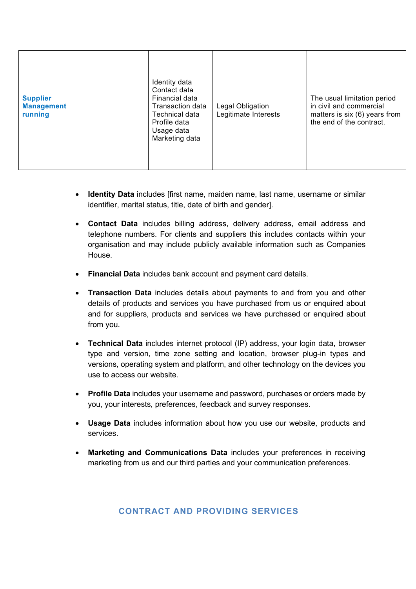| <b>Supplier</b><br><b>Management</b><br>running | Identity data<br>Contact data<br>Financial data<br>Transaction data<br>Technical data<br>Profile data<br>Usage data<br>Marketing data | Legal Obligation<br>Legitimate Interests | The usual limitation period<br>in civil and commercial<br>matters is six (6) years from<br>the end of the contract. |
|-------------------------------------------------|---------------------------------------------------------------------------------------------------------------------------------------|------------------------------------------|---------------------------------------------------------------------------------------------------------------------|
|-------------------------------------------------|---------------------------------------------------------------------------------------------------------------------------------------|------------------------------------------|---------------------------------------------------------------------------------------------------------------------|

- **Identity Data** includes [first name, maiden name, last name, username or similar identifier, marital status, title, date of birth and gender].
- **Contact Data** includes billing address, delivery address, email address and telephone numbers. For clients and suppliers this includes contacts within your organisation and may include publicly available information such as Companies House.
- **Financial Data** includes bank account and payment card details.
- **Transaction Data** includes details about payments to and from you and other details of products and services you have purchased from us or enquired about and for suppliers, products and services we have purchased or enquired about from you.
- **Technical Data** includes internet protocol (IP) address, your login data, browser type and version, time zone setting and location, browser plug-in types and versions, operating system and platform, and other technology on the devices you use to access our website.
- **Profile Data** includes your username and password, purchases or orders made by you, your interests, preferences, feedback and survey responses.
- **Usage Data** includes information about how you use our website, products and services.
- **Marketing and Communications Data** includes your preferences in receiving marketing from us and our third parties and your communication preferences.

# **CONTRACT AND PROVIDING SERVICES**